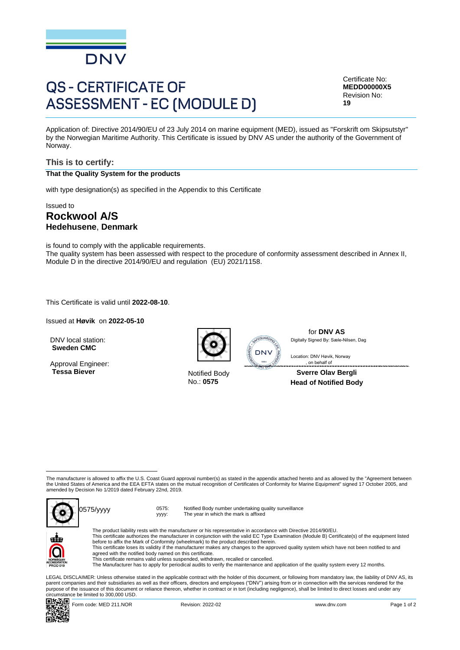

# **QS - CERTIFICATE OF ASSESSMENT - EC (MODULE D)**

Certificate No: **MEDD00000X5** Revision No: **19**

Application of: Directive 2014/90/EU of 23 July 2014 on marine equipment (MED), issued as "Forskrift om Skipsutstyr" by the Norwegian Maritime Authority. This Certificate is issued by DNV AS under the authority of the Government of Norway.

## **This is to certify:**

### **That the Quality System for the products**

with type designation(s) as specified in the Appendix to this Certificate

## Issued to **Rockwool A/S Hedehusene**, **Denmark**

is found to comply with the applicable requirements. The quality system has been assessed with respect to the procedure of conformity assessment described in Annex II, Module D in the directive 2014/90/EU and regulation (EU) 2021/1158.

This Certificate is valid until **2022-08-10**.

Issued at **Høvik** on **2022-05-10**

DNV local station: **Sweden CMC**

Approval Engineer: **Tessa Biever** Notified Body



No.: **0575**



for **DNV AS** Digitally Signed By: Sæle-Nilsen, Dag

 , on behalf ofLocation: DNV Høvik, Norway

#### **Sverre Olav Bergli Head of Notified Body**

The manufacturer is allowed to affix the U.S. Coast Guard approval number(s) as stated in the appendix attached hereto and as allowed by the "Agreement between the United States of America and the EEA EFTA states on the mutual recognition of Certificates of Conformity for Marine Equipment" signed 17 October 2005, and amended by Decision No 1/2019 dated February 22nd, 2019.



yyyy: Notified Body number undertaking quality surveillance The year in which the mark is affixed



The product liability rests with the manufacturer or his representative in accordance with Directive 2014/90/EU.<br>This certificate authorizes the manufacturer in conjunction with the valid EC Type Examination (Module B) Cer This certificate loses its validity if the manufacturer makes any changes to the approved quality system which have not been notified to and

agreed with the notified body named on this certificate.

This certificate remains valid unless suspended, withdrawn, recalled or cancelled.

The Manufacturer has to apply for periodical audits to verify the maintenance and application of the quality system every 12 months.

LEGAL DISCLAIMER: Unless otherwise stated in the applicable contract with the holder of this document, or following from mandatory law, the liability of DNV AS, its<br>parent companies and their subsidiaries as well as their purpose of the issuance of this document or reliance thereon, whether in contract or in tort (including negligence), shall be limited to direct losses and under any circumstance be limited to 300,000 USD.



Form code: MED 211.NOR Revision: 2022-02 www.dnv.com Page 1 of 2